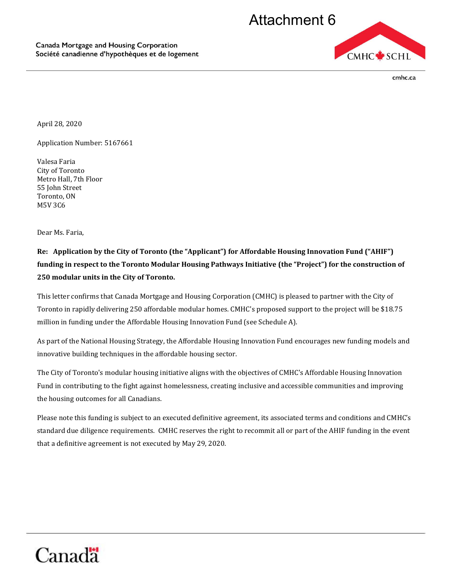

cmhc.ca

April 28, 2020

Application Number: 5167661

Valesa Faria City of Toronto Metro Hall, 7th Floor 55 John Street Toronto, ON M5V 3C6

Dear Ms. Faria,

## **Re:** Application by the City of Toronto (the "Applicant") for Affordable Housing Innovation Fund ("AHIF")  **funding in respect to the Toronto Modular Housing Pathways Initiative (the "Project") for the construction of 250 modular units in the City of Toronto.**

 This letter confirms that Canada Mortgage and Housing Corporation (CMHC) is pleased to partner with the City of Toronto in rapidly delivering 250 affordable modular homes. CMHC's proposed support to the project will be \$18.75 million in funding under the Affordable Housing Innovation Fund (see Schedule A).

 As part of the National Housing Strategy, the Affordable Housing Innovation Fund encourages new funding models and innovative building techniques in the affordable housing sector.

 The City of Toronto's modular housing initiative aligns with the objectives of CMHC's Affordable Housing Innovation Fund in contributing to the fight against homelessness, creating inclusive and accessible communities and improving the housing outcomes for all Canadians.

 Please note this funding is subject to an executed definitive agreement, its associated terms and conditions and CMHC's standard due diligence requirements. CMHC reserves the right to recommit all or part of the AHIF funding in the event that a definitive agreement is not executed by May 29, 2020.

## Canada<sup>"</sup>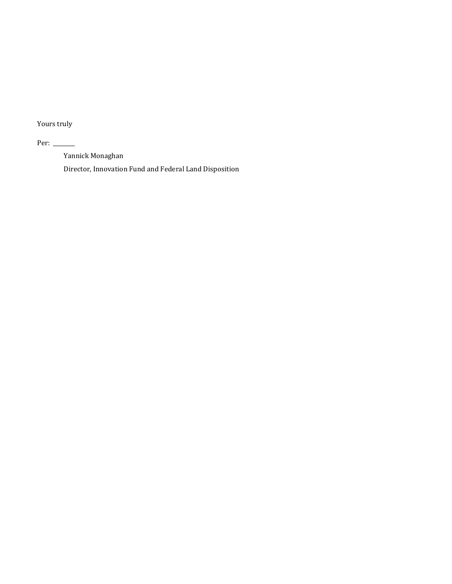Yours truly

Per:  $\_\_$ 

Yannick Monaghan

Director, Innovation Fund and Federal Land Disposition